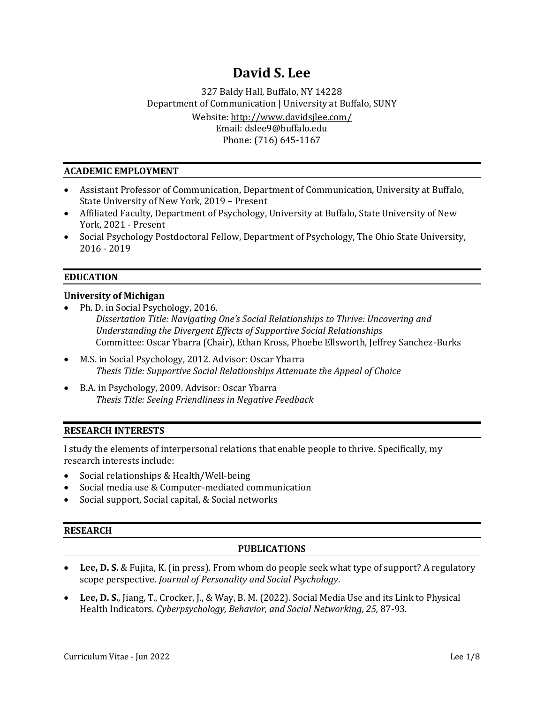# **David S. Lee**

327 Baldy Hall, Buffalo, NY 14228 Department of Communication | University at Buffalo, SUNY Website:<http://www.davidsjlee.com/> Email: dslee9@buffalo.edu Phone: (716) 645-1167

# **ACADEMIC EMPLOYMENT**

- Assistant Professor of Communication, Department of Communication, University at Buffalo, State University of New York, 2019 – Present
- Affiliated Faculty, Department of Psychology, University at Buffalo, State University of New York, 2021 - Present
- Social Psychology Postdoctoral Fellow, Department of Psychology, The Ohio State University, 2016 - 2019

### **EDUCATION**

### **University of Michigan**

- Ph. D. in Social Psychology, 2016. *Dissertation Title: Navigating One's Social Relationships to Thrive: Uncovering and Understanding the Divergent Effects of Supportive Social Relationships* Committee: Oscar Ybarra (Chair), Ethan Kross, Phoebe Ellsworth, Jeffrey Sanchez-Burks
- M.S. in Social Psychology, 2012. Advisor: Oscar Ybarra *Thesis Title: Supportive Social Relationships Attenuate the Appeal of Choice*
- B.A. in Psychology, 2009. Advisor: Oscar Ybarra *Thesis Title: Seeing Friendliness in Negative Feedback*

#### **RESEARCH INTERESTS**

I study the elements of interpersonal relations that enable people to thrive. Specifically, my research interests include:

- Social relationships & Health/Well-being
- Social media use & Computer-mediated communication
- Social support, Social capital, & Social networks

#### **RESEARCH**

#### **PUBLICATIONS**

- Lee, D. S. & Fujita, K. (in press). From whom do people seek what type of support? A regulatory scope perspective. *Journal of Personality and Social Psychology*.
- **Lee, D. S.**, Jiang, T., Crocker, J., & Way, B. M. (2022). Social Media Use and its Link to Physical Health Indicators. *Cyberpsychology, Behavior, and Social Networking, 25,* 87-93.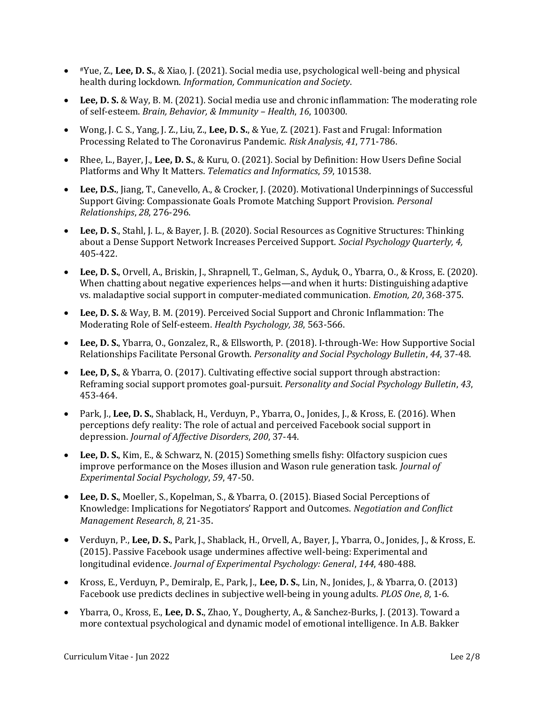- #Yue, Z., **Lee, D. S.**, & Xiao, J. (2021). Social media use, psychological well-being and physical health during lockdown. *Information, Communication and Society*.
- **Lee, D. S.** & Way, B. M. (2021). Social media use and chronic inflammation: The moderating role of self-esteem. *Brain, Behavior, & Immunity – Health*, *16*, 100300.
- Wong, J. C. S., Yang, J. Z., Liu, Z., **Lee, D. S.**, & Yue, Z. (2021). Fast and Frugal: Information Processing Related to The Coronavirus Pandemic. *Risk Analysis*, *41*, 771-786.
- Rhee, L., Bayer, J., **Lee, D. S.**, & Kuru, O. (2021). Social by Definition: How Users Define Social Platforms and Why It Matters. *Telematics and Informatics*, *59*, 101538.
- **Lee, D.S.**, Jiang, T., Canevello, A., & Crocker, J. (2020). Motivational Underpinnings of Successful Support Giving: Compassionate Goals Promote Matching Support Provision. *Personal Relationships*, *28*, 276-296.
- **Lee, D. S**., Stahl, J. L., & Bayer, J. B. (2020). Social Resources as Cognitive Structures: Thinking about a Dense Support Network Increases Perceived Support. *Social Psychology Quarterly, 4,*  405-422.
- **Lee, D. S.**, Orvell, A., Briskin, J., Shrapnell, T., Gelman, S., Ayduk, O., Ybarra, O., & Kross, E. (2020). When chatting about negative experiences helps—and when it hurts: Distinguishing adaptive vs. maladaptive social support in computer-mediated communication. *Emotion, 20*, 368-375.
- **Lee, D. S.** & Way, B. M. (2019). Perceived Social Support and Chronic Inflammation: The Moderating Role of Self-esteem. *Health Psychology, 38*, 563-566.
- **Lee, D. S.**, Ybarra, O., Gonzalez, R., & Ellsworth, P. (2018). I-through-We: How Supportive Social Relationships Facilitate Personal Growth. *Personality and Social Psychology Bulletin*, *44*, 37-48.
- **Lee, D, S.**, & Ybarra, O. (2017). Cultivating effective social support through abstraction: Reframing social support promotes goal-pursuit. *Personality and Social Psychology Bulletin*, *43*, 453-464.
- Park, J., **Lee, D. S.**, Shablack, H., Verduyn, P., Ybarra, O., Jonides, J., & Kross, E. (2016). When perceptions defy reality: The role of actual and perceived Facebook social support in depression. *Journal of Affective Disorders*, *200*, 37-44.
- **Lee, D. S.**, Kim, E., & Schwarz, N. (2015) Something smells fishy: Olfactory suspicion cues improve performance on the Moses illusion and Wason rule generation task. *Journal of Experimental Social Psychology*, *59*, 47-50.
- **Lee, D. S.**, Moeller, S., Kopelman, S., & Ybarra, O. (2015). Biased Social Perceptions of Knowledge: Implications for Negotiators' Rapport and Outcomes. *Negotiation and Conflict Management Research*, *8*, 21-35.
- Verduyn, P., **Lee, D. S.**, Park, J., Shablack, H., Orvell, A., Bayer, J., Ybarra, O., Jonides, J., & Kross, E. (2015). Passive Facebook usage undermines affective well-being: Experimental and longitudinal evidence. *Journal of Experimental Psychology: General*, *144*, 480-488.
- Kross, E., Verduyn, P., Demiralp, E., Park, J., **Lee, D. S.**, Lin, N., Jonides, J., & Ybarra, O. (2013) Facebook use predicts declines in subjective well-being in young adults. *PLOS One*, *8*, 1-6.
- Ybarra, O., Kross, E., **Lee, D. S.**, Zhao, Y., Dougherty, A., & Sanchez-Burks, J. (2013). Toward a more contextual psychological and dynamic model of emotional intelligence. In A.B. Bakker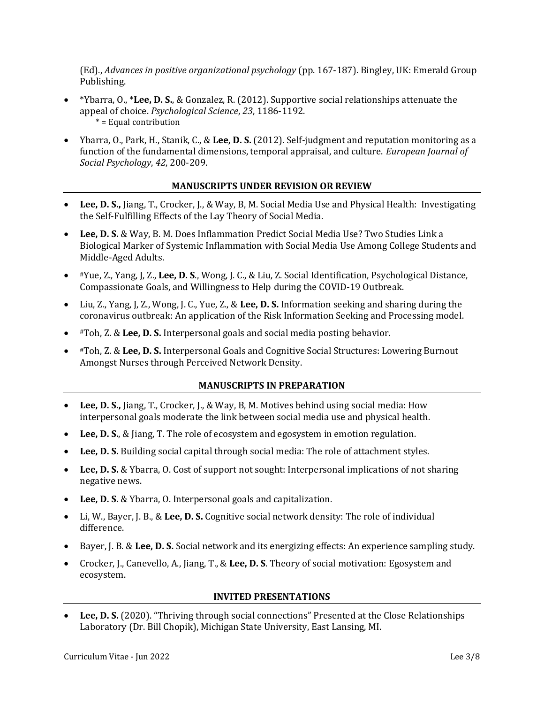(Ed)., *Advances in positive organizational psychology* (pp. 167-187). Bingley, UK: Emerald Group Publishing.

- \*Ybarra, O., \***Lee, D. S.**, & Gonzalez, R. (2012). Supportive social relationships attenuate the appeal of choice. *Psychological Science*, *23*, 1186-1192. \* = Equal contribution
- Ybarra, O., Park, H., Stanik, C., & **Lee, D. S.** (2012). Self-judgment and reputation monitoring as a function of the fundamental dimensions, temporal appraisal, and culture. *European Journal of Social Psychology*, *42*, 200-209.

# **MANUSCRIPTS UNDER REVISION OR REVIEW**

- **Lee, D. S.,** Jiang, T., Crocker, J., & Way, B, M. Social Media Use and Physical Health: Investigating the Self-Fulfilling Effects of the Lay Theory of Social Media.
- **Lee, D. S.** & Way, B. M. Does Inflammation Predict Social Media Use? Two Studies Link a Biological Marker of Systemic Inflammation with Social Media Use Among College Students and Middle-Aged Adults.
- #Yue, Z., Yang, J, Z., **Lee, D. S**., Wong, J. C., & Liu, Z. Social Identification, Psychological Distance, Compassionate Goals, and Willingness to Help during the COVID-19 Outbreak.
- Liu, Z., Yang, J, Z., Wong, J. C., Yue, Z., & **Lee, D. S.** Information seeking and sharing during the coronavirus outbreak: An application of the Risk Information Seeking and Processing model.
- #Toh, Z. & **Lee, D. S.** Interpersonal goals and social media posting behavior.
- #Toh, Z. & **Lee, D. S.** Interpersonal Goals and Cognitive Social Structures: Lowering Burnout Amongst Nurses through Perceived Network Density.

# **MANUSCRIPTS IN PREPARATION**

- **Lee, D. S.,** Jiang, T., Crocker, J., & Way, B, M. Motives behind using social media: How interpersonal goals moderate the link between social media use and physical health.
- **Lee, D. S.**, & Jiang, T. The role of ecosystem and egosystem in emotion regulation.
- **Lee, D. S.** Building social capital through social media: The role of attachment styles.
- **Lee, D. S.** & Ybarra, O. Cost of support not sought: Interpersonal implications of not sharing negative news.
- **Lee, D. S.** & Ybarra, O. Interpersonal goals and capitalization.
- Li, W., Bayer, J. B., & **Lee, D. S.** Cognitive social network density: The role of individual difference.
- Bayer, J. B. & **Lee, D. S.** Social network and its energizing effects: An experience sampling study.
- Crocker, J., Canevello, A., Jiang, T., & **Lee, D. S**. Theory of social motivation: Egosystem and ecosystem.

# **INVITED PRESENTATIONS**

• **Lee, D. S.** (2020). "Thriving through social connections" Presented at the Close Relationships Laboratory (Dr. Bill Chopik), Michigan State University, East Lansing, MI.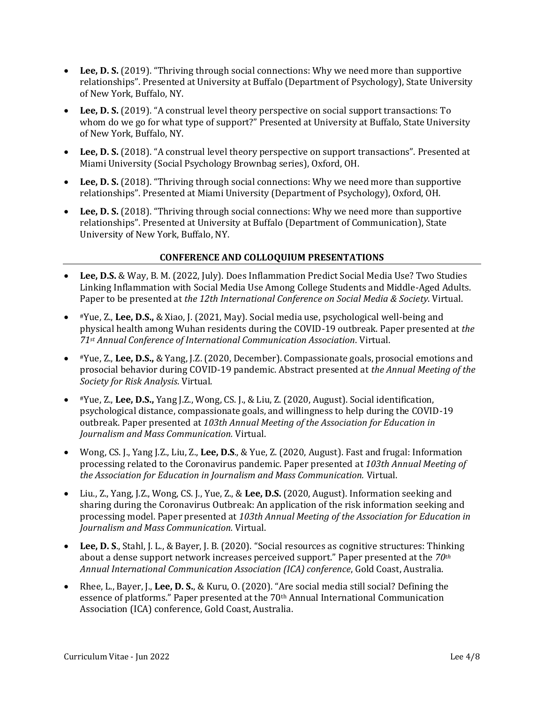- Lee, D. S. (2019). "Thriving through social connections: Why we need more than supportive relationships". Presented at University at Buffalo (Department of Psychology), State University of New York, Buffalo, NY.
- **Lee, D. S.** (2019). "A construal level theory perspective on social support transactions: To whom do we go for what type of support?" Presented at University at Buffalo, State University of New York, Buffalo, NY.
- **Lee, D. S.** (2018). "A construal level theory perspective on support transactions". Presented at Miami University (Social Psychology Brownbag series), Oxford, OH.
- **Lee, D. S.** (2018). "Thriving through social connections: Why we need more than supportive relationships". Presented at Miami University (Department of Psychology), Oxford, OH.
- Lee, D. S. (2018). "Thriving through social connections: Why we need more than supportive relationships". Presented at University at Buffalo (Department of Communication), State University of New York, Buffalo, NY.

# **CONFERENCE AND COLLOQUIUM PRESENTATIONS**

- **Lee, D.S.** & Way, B. M. (2022, July). Does Inflammation Predict Social Media Use? Two Studies Linking Inflammation with Social Media Use Among College Students and Middle-Aged Adults. Paper to be presented at *the 12th International Conference on Social Media & Society*. Virtual.
- #Yue, Z., **Lee, D.S.,** & Xiao, J. (2021, May). Social media use, psychological well-being and physical health among Wuhan residents during the COVID-19 outbreak. Paper presented at *the 71st Annual Conference of International Communication Association*. Virtual.
- #Yue, Z., **Lee, D.S.,** & Yang, J.Z. (2020, December). Compassionate goals, prosocial emotions and prosocial behavior during COVID-19 pandemic. Abstract presented at *the Annual Meeting of the Society for Risk Analysis*. Virtual.
- #Yue, Z., **Lee, D.S.,** Yang J.Z., Wong, CS. J., & Liu, Z. (2020, August). Social identification, psychological distance, compassionate goals, and willingness to help during the COVID-19 outbreak. Paper presented at *103th Annual Meeting of the Association for Education in Journalism and Mass Communication.* Virtual.
- Wong, CS. J., Yang J.Z., Liu, Z., **Lee, D.S**., & Yue, Z. (2020, August). Fast and frugal: Information processing related to the Coronavirus pandemic. Paper presented at *103th Annual Meeting of the Association for Education in Journalism and Mass Communication.* Virtual.
- Liu., Z., Yang, J.Z., Wong, CS. J., Yue, Z., & **Lee, D.S.** (2020, August). Information seeking and sharing during the Coronavirus Outbreak: An application of the risk information seeking and processing model. Paper presented at *103th Annual Meeting of the Association for Education in Journalism and Mass Communication.* Virtual.
- **Lee, D. S**., Stahl, J. L., & Bayer, J. B. (2020). "Social resources as cognitive structures: Thinking about a dense support network increases perceived support." Paper presented at the *70th Annual International Communication Association (ICA) conference*, Gold Coast, Australia.
- Rhee, L., Bayer, J., **Lee, D. S.**, & Kuru, O. (2020). "Are social media still social? Defining the essence of platforms." Paper presented at the 70th Annual International Communication Association (ICA) conference, Gold Coast, Australia.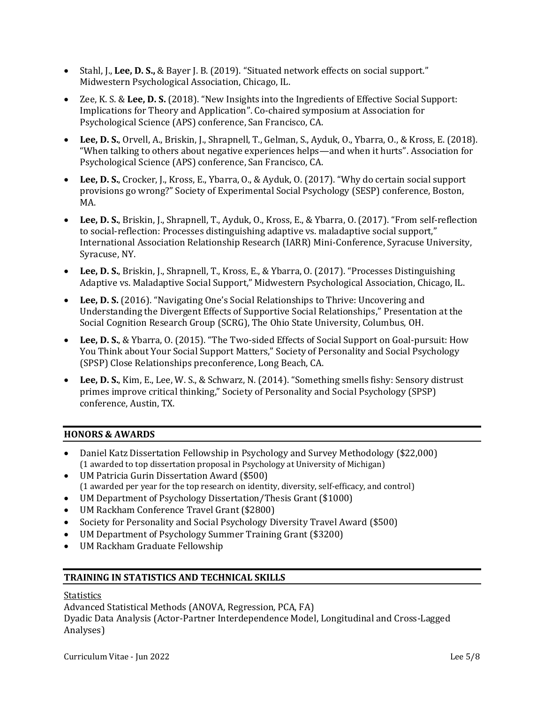- Stahl, J., **Lee, D. S.,** & Bayer J. B. (2019). "Situated network effects on social support." Midwestern Psychological Association, Chicago, IL.
- Zee, K. S. & **Lee, D. S.** (2018). "New Insights into the Ingredients of Effective Social Support: Implications for Theory and Application". Co-chaired symposium at Association for Psychological Science (APS) conference, San Francisco, CA.
- **Lee, D. S.**, Orvell, A., Briskin, J., Shrapnell, T., Gelman, S., Ayduk, O., Ybarra, O., & Kross, E. (2018). "When talking to others about negative experiences helps—and when it hurts". Association for Psychological Science (APS) conference, San Francisco, CA.
- **Lee, D. S.**, Crocker, J., Kross, E., Ybarra, O., & Ayduk, O. (2017). "Why do certain social support provisions go wrong?" Society of Experimental Social Psychology (SESP) conference, Boston, MA.
- **Lee, D. S.**, Briskin, J., Shrapnell, T., Ayduk, O., Kross, E., & Ybarra, O. (2017). "From self-reflection to social-reflection: Processes distinguishing adaptive vs. maladaptive social support," International Association Relationship Research (IARR) Mini-Conference, Syracuse University, Syracuse, NY.
- **Lee, D. S.**, Briskin, J., Shrapnell, T., Kross, E., & Ybarra, O. (2017). "Processes Distinguishing Adaptive vs. Maladaptive Social Support," Midwestern Psychological Association, Chicago, IL.
- **Lee, D. S.** (2016). "Navigating One's Social Relationships to Thrive: Uncovering and Understanding the Divergent Effects of Supportive Social Relationships," Presentation at the Social Cognition Research Group (SCRG), The Ohio State University, Columbus, OH.
- **Lee, D. S.**, & Ybarra, O. (2015). "The Two-sided Effects of Social Support on Goal-pursuit: How You Think about Your Social Support Matters," Society of Personality and Social Psychology (SPSP) Close Relationships preconference, Long Beach, CA.
- **Lee, D. S.**, Kim, E., Lee, W. S., & Schwarz, N. (2014). "Something smells fishy: Sensory distrust primes improve critical thinking," Society of Personality and Social Psychology (SPSP) conference, Austin, TX.

# **HONORS & AWARDS**

- Daniel Katz Dissertation Fellowship in Psychology and Survey Methodology (\$22,000) (1 awarded to top dissertation proposal in Psychology at University of Michigan)
- UM Patricia Gurin Dissertation Award (\$500) (1 awarded per year for the top research on identity, diversity, self-efficacy, and control)
- UM Department of Psychology Dissertation/Thesis Grant (\$1000)
- UM Rackham Conference Travel Grant (\$2800)
- Society for Personality and Social Psychology Diversity Travel Award (\$500)
- UM Department of Psychology Summer Training Grant (\$3200)
- UM Rackham Graduate Fellowship

# **TRAINING IN STATISTICS AND TECHNICAL SKILLS**

# **Statistics**

Advanced Statistical Methods (ANOVA, Regression, PCA, FA) Dyadic Data Analysis (Actor-Partner Interdependence Model, Longitudinal and Cross-Lagged Analyses)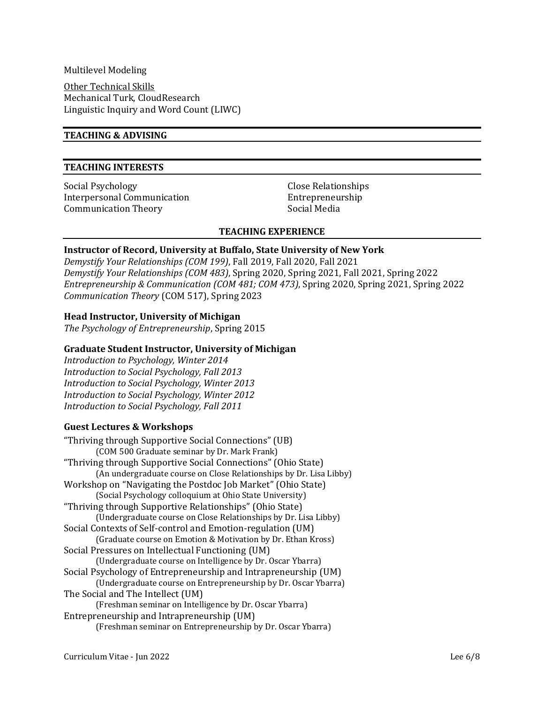#### Multilevel Modeling

Other Technical Skills Mechanical Turk, CloudResearch Linguistic Inquiry and Word Count (LIWC)

# **TEACHING & ADVISING**

#### **TEACHING INTERESTS**

Social Psychology Interpersonal Communication Communication Theory

Close Relationships Entrepreneurship Social Media

### **TEACHING EXPERIENCE**

## **Instructor of Record, University at Buffalo, State University of New York**

*Demystify Your Relationships (COM 199)*, Fall 2019, Fall 2020, Fall 2021 *Demystify Your Relationships (COM 483)*, Spring 2020, Spring 2021, Fall 2021, Spring 2022 *Entrepreneurship & Communication (COM 481; COM 473)*, Spring 2020, Spring 2021, Spring 2022 *Communication Theory* (COM 517), Spring 2023

### **Head Instructor, University of Michigan**

*The Psychology of Entrepreneurship*, Spring 2015

## **Graduate Student Instructor, University of Michigan**

*Introduction to Psychology, Winter 2014 Introduction to Social Psychology, Fall 2013 Introduction to Social Psychology, Winter 2013 Introduction to Social Psychology, Winter 2012 Introduction to Social Psychology, Fall 2011*

# **Guest Lectures & Workshops**

| "Thriving through Supportive Social Connections" (UB)              |
|--------------------------------------------------------------------|
| (COM 500 Graduate seminar by Dr. Mark Frank)                       |
| "Thriving through Supportive Social Connections" (Ohio State)      |
| (An undergraduate course on Close Relationships by Dr. Lisa Libby) |
| Workshop on "Navigating the Postdoc Job Market" (Ohio State)       |
| (Social Psychology colloquium at Ohio State University)            |
| "Thriving through Supportive Relationships" (Ohio State)           |
| (Undergraduate course on Close Relationships by Dr. Lisa Libby)    |
| Social Contexts of Self-control and Emotion-regulation (UM)        |
| (Graduate course on Emotion & Motivation by Dr. Ethan Kross)       |
| Social Pressures on Intellectual Functioning (UM)                  |
| (Undergraduate course on Intelligence by Dr. Oscar Ybarra)         |
| Social Psychology of Entrepreneurship and Intrapreneurship (UM)    |
| (Undergraduate course on Entrepreneurship by Dr. Oscar Ybarra)     |
| The Social and The Intellect (UM)                                  |
| (Freshman seminar on Intelligence by Dr. Oscar Ybarra)             |
| Entrepreneurship and Intrapreneurship (UM)                         |
| (Freshman seminar on Entrepreneurship by Dr. Oscar Ybarra)         |
|                                                                    |